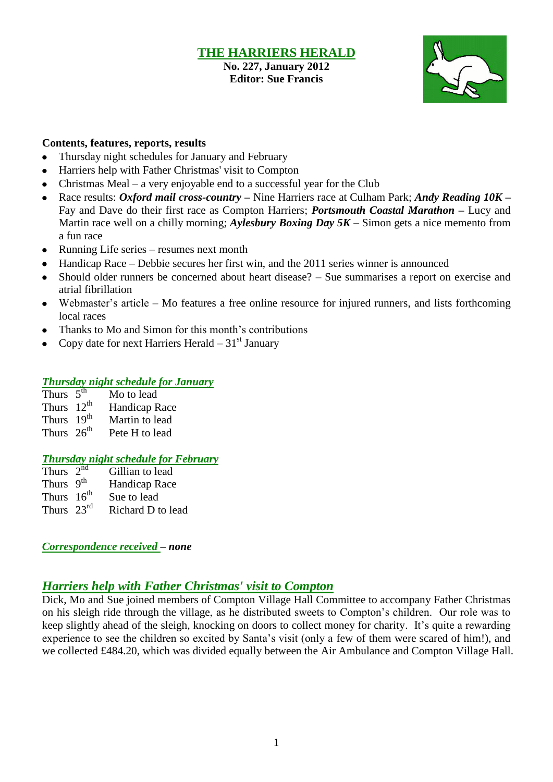#### **THE HARRIERS HERALD No. 227, January 2012 Editor: Sue Francis**



### **Contents, features, reports, results**

- Thursday night schedules for January and February
- $\bullet$ Harriers help with Father Christmas' visit to Compton
- Christmas Meal a very enjoyable end to a successful year for the Club  $\bullet$
- Race results: *Oxford mail cross-country –* Nine Harriers race at Culham Park; *Andy Reading 10K –* Fay and Dave do their first race as Compton Harriers; *Portsmouth Coastal Marathon –* Lucy and Martin race well on a chilly morning; *Aylesbury Boxing Day 5K –* Simon gets a nice memento from a fun race
- $\bullet$ Running Life series – resumes next month
- Handicap Race Debbie secures her first win, and the 2011 series winner is announced
- Should older runners be concerned about heart disease? Sue summarises a report on exercise and  $\bullet$ atrial fibrillation
- Webmaster's article Mo features a free online resource for injured runners, and lists forthcoming local races
- Thanks to Mo and Simon for this month's contributions  $\bullet$
- Copy date for next Harriers Herald  $-31<sup>st</sup>$  January

### *Thursday night schedule for January*

- Thurs  $5<sup>th</sup>$ Mo to lead
- Thurs  $12^{th}$ Handicap Race
- Thurs  $19^{th}$ <br>Thurs  $26^{th}$ Martin to lead
- Pete H to lead

## *Thursday night schedule for February*

Thurs  $2<sup>nd</sup>$ Gillian to lead Thurs 9<sup>th</sup> Handicap Race Thurs  $16^{th}$ <br>Thurs  $23^{rd}$ Sue to lead Richard D to lead

*Correspondence received – none*

## *Harriers help with Father Christmas' visit to Compton*

Dick, Mo and Sue joined members of Compton Village Hall Committee to accompany Father Christmas on his sleigh ride through the village, as he distributed sweets to Compton's children. Our role was to keep slightly ahead of the sleigh, knocking on doors to collect money for charity. It's quite a rewarding experience to see the children so excited by Santa's visit (only a few of them were scared of him!), and we collected £484.20, which was divided equally between the Air Ambulance and Compton Village Hall.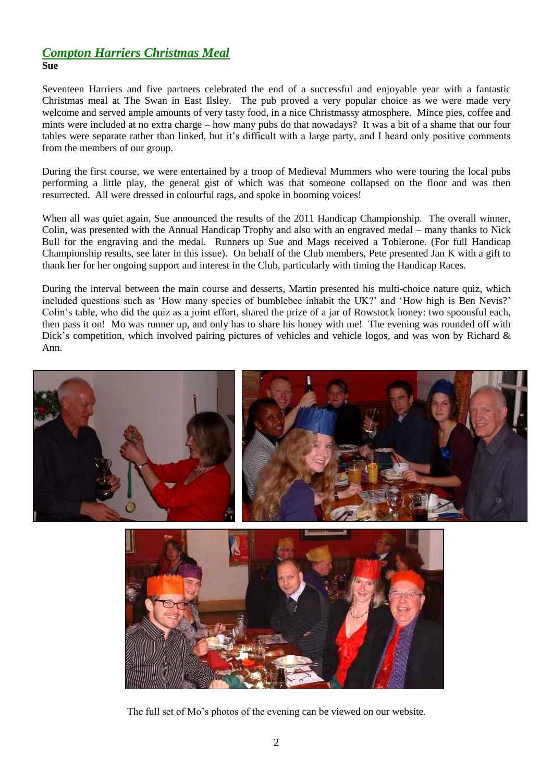# *Compton Harriers Christmas Meal*

**Sue**

Seventeen Harriers and five partners celebrated the end of a successful and enjoyable year with a fantastic Christmas meal at The Swan in East Ilsley. The pub proved a very popular choice as we were made very welcome and served ample amounts of very tasty food, in a nice Christmassy atmosphere. Mince pies, coffee and mints were included at no extra charge – how many pubs do that nowadays? It was a bit of a shame that our four tables were separate rather than linked, but it's difficult with a large party, and I heard only positive comments from the members of our group.

During the first course, we were entertained by a troop of Medieval Mummers who were touring the local pubs performing a little play, the general gist of which was that someone collapsed on the floor and was then resurrected. All were dressed in colourful rags, and spoke in booming voices!

When all was quiet again, Sue announced the results of the 2011 Handicap Championship. The overall winner, Colin, was presented with the Annual Handicap Trophy and also with an engraved medal – many thanks to Nick Bull for the engraving and the medal. Runners up Sue and Mags received a Toblerone. (For full Handicap Championship results, see later in this issue). On behalf of the Club members, Pete presented Jan K with a gift to thank her for her ongoing support and interest in the Club, particularly with timing the Handicap Races.

During the interval between the main course and desserts, Martin presented his multi-choice nature quiz, which included questions such as 'How many species of bumblebee inhabit the UK?' and 'How high is Ben Nevis?' Colin's table, who did the quiz as a joint effort, shared the prize of a jar of Rowstock honey: two spoonsful each, then pass it on! Mo was runner up, and only has to share his honey with me! The evening was rounded off with Dick's competition, which involved pairing pictures of vehicles and vehicle logos, and was won by Richard & Ann.





The full set of Mo's photos of the evening can be viewed on our website.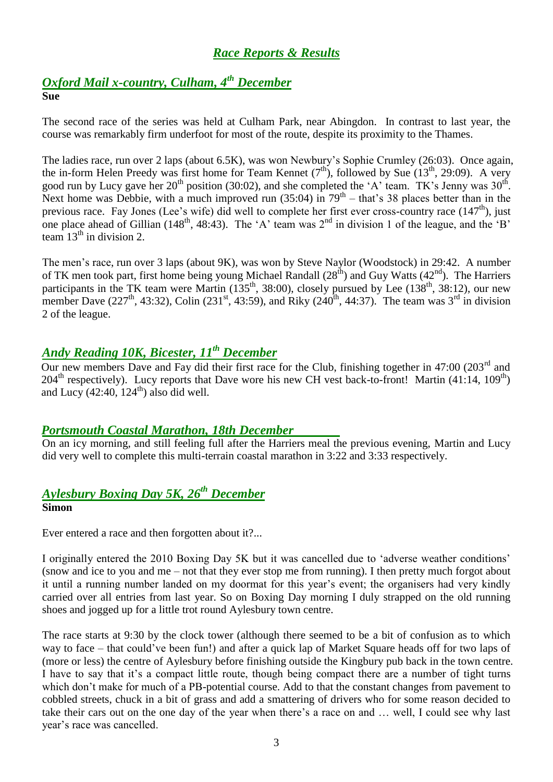## *Race Reports & Results*

## *Oxford Mail x-country, Culham, 4 th December* **Sue**

The second race of the series was held at Culham Park, near Abingdon. In contrast to last year, the course was remarkably firm underfoot for most of the route, despite its proximity to the Thames.

The ladies race, run over 2 laps (about 6.5K), was won Newbury's Sophie Crumley (26:03). Once again, the in-form Helen Preedy was first home for Team Kennet  $(7<sup>th</sup>)$ , followed by Sue  $(13<sup>th</sup>, 29:09)$ . A very good run by Lucy gave her  $20^{th}$  position (30:02), and she completed the 'A' team. TK's Jenny was  $30^{th}$ . Next home was Debbie, with a much improved run  $(35:04)$  in  $79<sup>th</sup>$  – that's 38 places better than in the previous race. Fay Jones (Lee's wife) did well to complete her first ever cross-country race (147<sup>th</sup>), just one place ahead of Gillian (148<sup>th</sup>, 48:43). The 'A' team was  $2<sup>nd</sup>$  in division 1 of the league, and the 'B' team  $13<sup>th</sup>$  in division 2.

The men's race, run over 3 laps (about 9K), was won by Steve Naylor (Woodstock) in 29:42. A number of TK men took part, first home being young Michael Randall  $(28<sup>th</sup>)$  and Guy Watts  $(42<sup>nd</sup>)$ . The Harriers participants in the TK team were Martin  $(135<sup>th</sup>, 38:00)$ , closely pursued by Lee  $(138<sup>th</sup>, 38:12)$ , our new member Dave (227<sup>th</sup>, 43:32), Colin (231<sup>st</sup>, 43:59), and Riky (240<sup>th</sup>, 44:37). The team was 3<sup>rd</sup> in division 2 of the league.

## *Andy Reading 10K, Bicester, 11th December*

Our new members Dave and Fay did their first race for the Club, finishing together in  $47:00$  (203<sup>rd</sup> and 204<sup>th</sup> respectively). Lucy reports that Dave wore his new CH vest back-to-front! Martin (41:14, 109<sup>th</sup>) and Lucy  $(42:40, 124^{\text{th}})$  also did well.

## *Portsmouth Coastal Marathon, 18th December*

On an icy morning, and still feeling full after the Harriers meal the previous evening, Martin and Lucy did very well to complete this multi-terrain coastal marathon in 3:22 and 3:33 respectively.

## *Aylesbury Boxing Day 5K, 26th December* **Simon**

Ever entered a race and then forgotten about it?...

I originally entered the 2010 Boxing Day 5K but it was cancelled due to 'adverse weather conditions' (snow and ice to you and me – not that they ever stop me from running). I then pretty much forgot about it until a running number landed on my doormat for this year's event; the organisers had very kindly carried over all entries from last year. So on Boxing Day morning I duly strapped on the old running shoes and jogged up for a little trot round Aylesbury town centre.

The race starts at 9:30 by the clock tower (although there seemed to be a bit of confusion as to which way to face – that could've been fun!) and after a quick lap of Market Square heads off for two laps of (more or less) the centre of Aylesbury before finishing outside the Kingbury pub back in the town centre. I have to say that it's a compact little route, though being compact there are a number of tight turns which don't make for much of a PB-potential course. Add to that the constant changes from pavement to cobbled streets, chuck in a bit of grass and add a smattering of drivers who for some reason decided to take their cars out on the one day of the year when there's a race on and … well, I could see why last year's race was cancelled.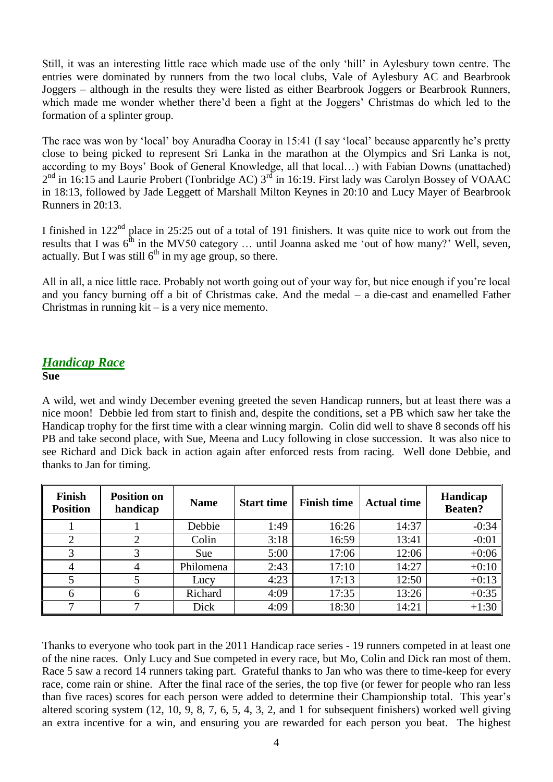Still, it was an interesting little race which made use of the only 'hill' in Aylesbury town centre. The entries were dominated by runners from the two local clubs, Vale of Aylesbury AC and Bearbrook Joggers – although in the results they were listed as either Bearbrook Joggers or Bearbrook Runners, which made me wonder whether there'd been a fight at the Joggers' Christmas do which led to the formation of a splinter group.

The race was won by 'local' boy Anuradha Cooray in 15:41 (I say 'local' because apparently he's pretty close to being picked to represent Sri Lanka in the marathon at the Olympics and Sri Lanka is not, according to my Boys' Book of General Knowledge, all that local…) with Fabian Downs (unattached)  $2<sup>nd</sup>$  in 16:15 and Laurie Probert (Tonbridge AC)  $3<sup>rd</sup>$  in 16:19. First lady was Carolyn Bossey of VOAAC in 18:13, followed by Jade Leggett of Marshall Milton Keynes in 20:10 and Lucy Mayer of Bearbrook Runners in 20:13.

I finished in  $122<sup>nd</sup>$  place in 25:25 out of a total of 191 finishers. It was quite nice to work out from the results that I was  $6<sup>th</sup>$  in the MV50 category ... until Joanna asked me 'out of how many?' Well, seven, actually. But I was still  $6<sup>th</sup>$  in my age group, so there.

All in all, a nice little race. Probably not worth going out of your way for, but nice enough if you're local and you fancy burning off a bit of Christmas cake. And the medal – a die-cast and enamelled Father Christmas in running  $kit - is a very nice member.$ 

## *Handicap Race*

### **Sue**

A wild, wet and windy December evening greeted the seven Handicap runners, but at least there was a nice moon! Debbie led from start to finish and, despite the conditions, set a PB which saw her take the Handicap trophy for the first time with a clear winning margin. Colin did well to shave 8 seconds off his PB and take second place, with Sue, Meena and Lucy following in close succession. It was also nice to see Richard and Dick back in action again after enforced rests from racing. Well done Debbie, and thanks to Jan for timing.

| <b>Finish</b><br><b>Position</b> | <b>Position on</b><br>handicap | <b>Name</b> | <b>Start time</b> | <b>Finish time</b> | <b>Actual time</b> | Handicap<br><b>Beaten?</b> |
|----------------------------------|--------------------------------|-------------|-------------------|--------------------|--------------------|----------------------------|
|                                  |                                | Debbie      | 1:49              | 16:26              | 14:37              | $-0:34$                    |
|                                  |                                | Colin       | 3:18              | 16:59              | 13:41              | $-0:01$                    |
| 3                                |                                | Sue         | 5:00              | 17:06              | 12:06              | $+0:06$                    |
|                                  |                                | Philomena   | 2:43              | 17:10              | 14:27              | $+0:10$                    |
|                                  |                                | Lucy        | 4:23              | 17:13              | 12:50              | $+0:13$                    |
| 6                                |                                | Richard     | 4:09              | 17:35              | 13:26              | $+0:35$                    |
|                                  |                                | Dick        | 4:09              | 18:30              | 14:21              | $+1:30$                    |

Thanks to everyone who took part in the 2011 Handicap race series - 19 runners competed in at least one of the nine races. Only Lucy and Sue competed in every race, but Mo, Colin and Dick ran most of them. Race 5 saw a record 14 runners taking part. Grateful thanks to Jan who was there to time-keep for every race, come rain or shine. After the final race of the series, the top five (or fewer for people who ran less than five races) scores for each person were added to determine their Championship total. This year's altered scoring system (12, 10, 9, 8, 7, 6, 5, 4, 3, 2, and 1 for subsequent finishers) worked well giving an extra incentive for a win, and ensuring you are rewarded for each person you beat. The highest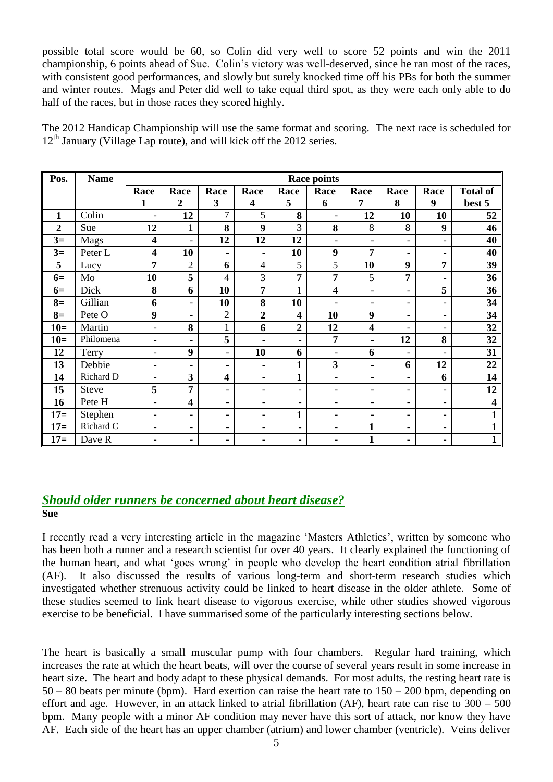possible total score would be 60, so Colin did very well to score 52 points and win the 2011 championship, 6 points ahead of Sue. Colin's victory was well-deserved, since he ran most of the races, with consistent good performances, and slowly but surely knocked time off his PBs for both the summer and winter routes. Mags and Peter did well to take equal third spot, as they were each only able to do half of the races, but in those races they scored highly.

The 2012 Handicap Championship will use the same format and scoring. The next race is scheduled for  $12<sup>th</sup>$  January (Village Lap route), and will kick off the 2012 series.

| Pos.           | <b>Name</b>  | <b>Race points</b>       |                          |                          |                          |                          |                          |                              |                          |                          |                         |
|----------------|--------------|--------------------------|--------------------------|--------------------------|--------------------------|--------------------------|--------------------------|------------------------------|--------------------------|--------------------------|-------------------------|
|                |              | Race                     | Race                     | Race                     | Race                     | Race                     | Race                     | Race                         | Race                     | Race                     | <b>Total of</b>         |
|                |              | $\mathbf{1}$             | $\overline{2}$           | 3                        | $\overline{\mathbf{4}}$  | 5                        | 6                        | 7                            | 8                        | 9                        | best 5                  |
| $\mathbf{1}$   | Colin        | $\overline{\phantom{a}}$ | 12                       | 7                        | 5                        | 8                        | ۰                        | 12                           | 10                       | 10                       | 52                      |
| $\overline{2}$ | Sue          | 12                       | $\mathbf{1}$             | 8                        | 9                        | 3                        | 8                        | 8                            | 8                        | 9                        | 46                      |
| $3=$           | Mags         | $\overline{\mathbf{4}}$  | $\overline{\phantom{a}}$ | 12                       | 12                       | 12                       |                          | $\overline{\phantom{0}}$     | $\overline{\phantom{a}}$ | $\overline{\phantom{0}}$ | 40                      |
| $3=$           | Peter L      | $\overline{\mathbf{4}}$  | 10                       | $\overline{\phantom{a}}$ | $\overline{\phantom{0}}$ | 10                       | 9                        | 7                            | $\blacksquare$           | $\overline{\phantom{0}}$ | 40                      |
| 5              | Lucy         | 7                        | $\overline{2}$           | 6                        | $\overline{4}$           | 5                        | 5                        | 10                           | 9                        | 7                        | 39                      |
| $6=$           | Mo           | 10                       | 5                        | $\overline{4}$           | 3                        | $\overline{7}$           | 7                        | 5                            | 7                        | $\overline{\phantom{0}}$ | 36                      |
| $6=$           | Dick         | 8                        | 6                        | 10                       | $\overline{7}$           | $\mathbf{1}$             | $\overline{4}$           | $\overline{\phantom{a}}$     | $\overline{\phantom{a}}$ | 5                        | 36                      |
| $8=$           | Gillian      | 6                        | $\blacksquare$           | 10                       | 8                        | 10                       |                          | $\overline{\phantom{a}}$     | $\overline{\phantom{a}}$ | $\overline{\phantom{0}}$ | 34                      |
| $8=$           | Pete O       | 9                        | $\overline{\phantom{a}}$ | $\overline{2}$           | $\overline{2}$           | $\overline{\mathbf{4}}$  | 10                       | 9                            | $\blacksquare$           | $\overline{\phantom{0}}$ | 34                      |
| $10=$          | Martin       | $\overline{\phantom{a}}$ | 8                        | $\mathbf{1}$             | 6                        | $\boldsymbol{2}$         | 12                       | $\overline{\mathbf{4}}$      | $\blacksquare$           | $\overline{\phantom{0}}$ | 32                      |
| $10=$          | Philomena    | $\overline{\phantom{a}}$ | $\blacksquare$           | 5                        | $\overline{\phantom{0}}$ | ۰                        | 7                        | $\qquad \qquad \blacksquare$ | 12                       | 8                        | 32                      |
| 12             | Terry        | $\overline{\phantom{a}}$ | 9                        | $\overline{\phantom{a}}$ | 10                       | 6                        | $\blacksquare$           | 6                            | $\blacksquare$           | $\overline{\phantom{0}}$ | 31                      |
| 13             | Debbie       | $\overline{\phantom{a}}$ | $\overline{\phantom{a}}$ | $\overline{\phantom{a}}$ | $\qquad \qquad -$        | $\mathbf{1}$             | $\overline{\mathbf{3}}$  | $\overline{\phantom{0}}$     | 6                        | 12                       | 22                      |
| 14             | Richard D    | $\overline{\phantom{a}}$ | 3                        | $\overline{\mathbf{4}}$  | $\overline{\phantom{0}}$ | $\mathbf{1}$             | $\blacksquare$           | $\overline{\phantom{a}}$     | $\overline{\phantom{a}}$ | 6                        | 14                      |
| 15             | <b>Steve</b> | 5                        | 7                        | $\overline{\phantom{a}}$ | $\overline{\phantom{0}}$ | $\overline{\phantom{0}}$ | $\overline{\phantom{a}}$ | $\overline{\phantom{a}}$     | $\overline{\phantom{a}}$ | $\overline{\phantom{0}}$ | 12                      |
| 16             | Pete H       | $\overline{\phantom{0}}$ | 4                        | $\overline{\phantom{a}}$ | $\qquad \qquad -$        | $\overline{\phantom{0}}$ | $\overline{\phantom{0}}$ | $\overline{\phantom{0}}$     | $\overline{\phantom{a}}$ | $\overline{\phantom{0}}$ | $\overline{\mathbf{4}}$ |
| $17=$          | Stephen      | $\overline{\phantom{a}}$ | $\equiv$                 | $\overline{\phantom{a}}$ | $\overline{\phantom{0}}$ | $\mathbf{1}$             | $\overline{\phantom{a}}$ | $\overline{\phantom{a}}$     | $\overline{\phantom{a}}$ | $\overline{\phantom{0}}$ | $\mathbf{1}$            |
| $17=$          | Richard C    | $\overline{\phantom{a}}$ | $\overline{\phantom{a}}$ | $\overline{\phantom{a}}$ | $\overline{\phantom{0}}$ | ۰                        | $\overline{\phantom{a}}$ | $\mathbf{1}$                 | $\overline{\phantom{a}}$ | -                        | $\mathbf{1}$            |
| $17=$          | Dave R       | $\overline{\phantom{a}}$ | $\overline{\phantom{a}}$ | $\overline{\phantom{a}}$ | $\overline{\phantom{0}}$ | ٠.                       | $\overline{\phantom{0}}$ | $\mathbf{1}$                 | $\overline{\phantom{a}}$ | $\overline{\phantom{0}}$ | $\mathbf{1}$            |

#### *Should older runners be concerned about heart disease?* **Sue**

I recently read a very interesting article in the magazine 'Masters Athletics', written by someone who has been both a runner and a research scientist for over 40 years. It clearly explained the functioning of the human heart, and what 'goes wrong' in people who develop the heart condition atrial fibrillation (AF). It also discussed the results of various long-term and short-term research studies which investigated whether strenuous activity could be linked to heart disease in the older athlete. Some of these studies seemed to link heart disease to vigorous exercise, while other studies showed vigorous exercise to be beneficial. I have summarised some of the particularly interesting sections below.

The heart is basically a small muscular pump with four chambers. Regular hard training, which increases the rate at which the heart beats, will over the course of several years result in some increase in heart size. The heart and body adapt to these physical demands. For most adults, the resting heart rate is 50 – 80 beats per minute (bpm). Hard exertion can raise the heart rate to 150 – 200 bpm, depending on effort and age. However, in an attack linked to atrial fibrillation  $(AF)$ , heart rate can rise to  $300 - 500$ bpm. Many people with a minor AF condition may never have this sort of attack, nor know they have AF. Each side of the heart has an upper chamber (atrium) and lower chamber (ventricle). Veins deliver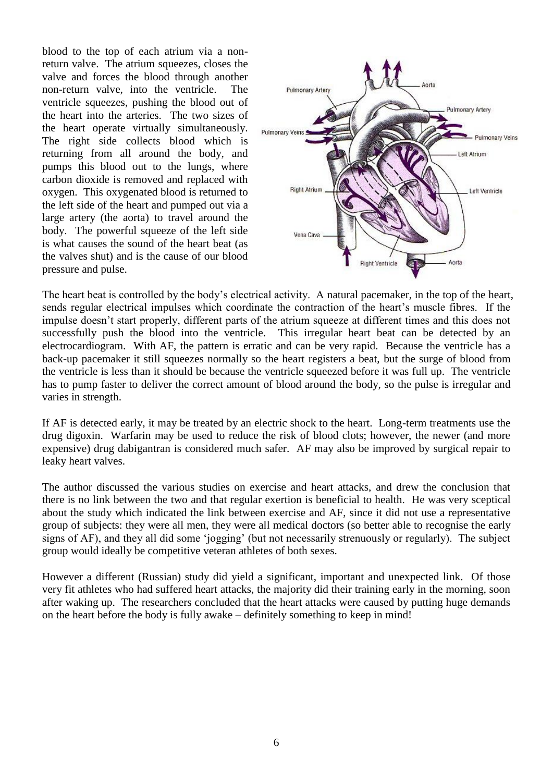blood to the top of each atrium via a nonreturn valve. The atrium squeezes, closes the valve and forces the blood through another non-return valve, into the ventricle. The ventricle squeezes, pushing the blood out of the heart into the arteries. The two sizes of the heart operate virtually simultaneously. The right side collects blood which is returning from all around the body, and pumps this blood out to the lungs, where carbon dioxide is removed and replaced with oxygen. This oxygenated blood is returned to the left side of the heart and pumped out via a large artery (the aorta) to travel around the body. The powerful squeeze of the left side is what causes the sound of the heart beat (as the valves shut) and is the cause of our blood pressure and pulse.



The heart beat is controlled by the body's electrical activity. A natural pacemaker, in the top of the heart, sends regular electrical impulses which coordinate the contraction of the heart's muscle fibres. If the impulse doesn't start properly, different parts of the atrium squeeze at different times and this does not successfully push the blood into the ventricle. This irregular heart beat can be detected by an electrocardiogram. With AF, the pattern is erratic and can be very rapid. Because the ventricle has a back-up pacemaker it still squeezes normally so the heart registers a beat, but the surge of blood from the ventricle is less than it should be because the ventricle squeezed before it was full up. The ventricle has to pump faster to deliver the correct amount of blood around the body, so the pulse is irregular and varies in strength.

If AF is detected early, it may be treated by an electric shock to the heart. Long-term treatments use the drug digoxin. Warfarin may be used to reduce the risk of blood clots; however, the newer (and more expensive) drug dabigantran is considered much safer. AF may also be improved by surgical repair to leaky heart valves.

The author discussed the various studies on exercise and heart attacks, and drew the conclusion that there is no link between the two and that regular exertion is beneficial to health. He was very sceptical about the study which indicated the link between exercise and AF, since it did not use a representative group of subjects: they were all men, they were all medical doctors (so better able to recognise the early signs of AF), and they all did some 'jogging' (but not necessarily strenuously or regularly). The subject group would ideally be competitive veteran athletes of both sexes.

However a different (Russian) study did yield a significant, important and unexpected link. Of those very fit athletes who had suffered heart attacks, the majority did their training early in the morning, soon after waking up. The researchers concluded that the heart attacks were caused by putting huge demands on the heart before the body is fully awake – definitely something to keep in mind!